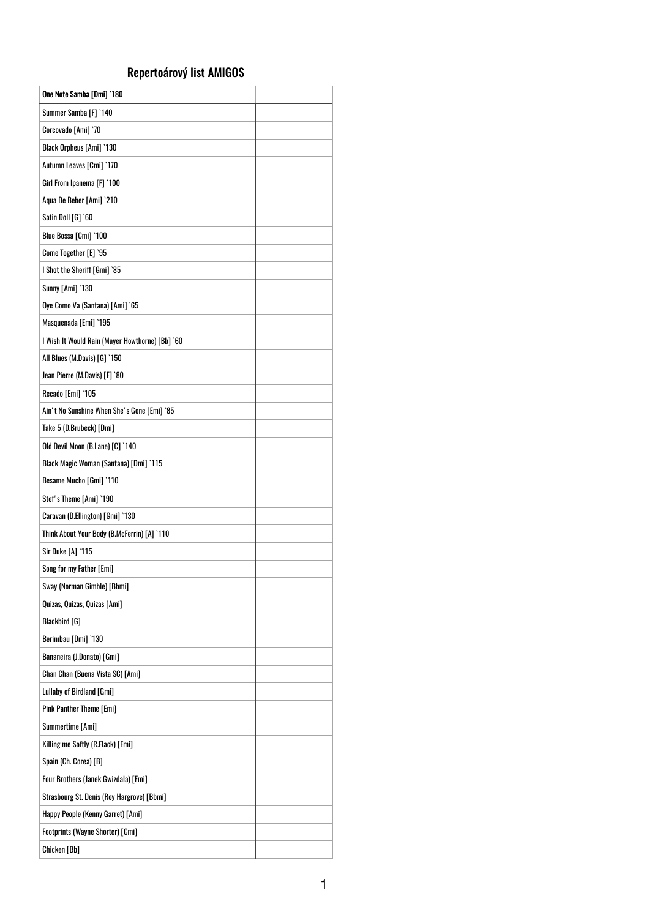## Repertoárový list AMIGOS

| One Note Samba [Dmi] `180                       |  |
|-------------------------------------------------|--|
| Summer Samba [F] `140                           |  |
| Corcovado [Ami] '70                             |  |
| Black Orpheus [Ami] `130                        |  |
| Autumn Leaves [Cmi] `170                        |  |
| Girl From Ipanema [F] `100                      |  |
| Aqua De Beber [Ami] `210                        |  |
| Satin Doll [G] `60                              |  |
| Blue Bossa [Cmi] '100                           |  |
| Come Together [E] '95                           |  |
| I Shot the Sheriff [Gmi] `85                    |  |
| <b>Sunny [Ami] `130</b>                         |  |
| Oye Como Va (Santana) [Ami] `65                 |  |
| Masquenada [Emi] `195                           |  |
| I Wish It Would Rain (Mayer Howthorne) [Bb] `60 |  |
| All Blues (M.Davis) [G] `150                    |  |
| Jean Pierre (M.Davis) [E] `80                   |  |
| Recado [Emi] `105                               |  |
| Ain't No Sunshine When She's Gone [Emi] `85     |  |
| Take 5 (D.Brubeck) [Dmi]                        |  |
| Old Devil Moon (B.Lane) [C] `140                |  |
| Black Magic Woman (Santana) [Dmi] `115          |  |
| Besame Mucho [Gmi] `110                         |  |
| Stef's Theme [Ami] '190                         |  |
| Caravan (D.Ellington) [Gmi] `130                |  |
| Think About Your Body (B.McFerrin) [A] `110     |  |
| Sir Duke [A] `115                               |  |
| Song for my Father [Emi]                        |  |
| Sway (Norman Gimble) [Bbmi]                     |  |
| Quizas, Quizas, Quizas [Ami]                    |  |
| <b>Blackbird</b> [G]                            |  |
| Berimbau [Dmi] '130                             |  |
| Bananeira (J.Donato) [Gmi]                      |  |
| Chan Chan (Buena Vista SC) [Ami]                |  |
| Lullaby of Birdland [Gmi]                       |  |
| Pink Panther Theme [Emi]                        |  |
| Summertime [Ami]                                |  |
| Killing me Softly (R.Flack) [Emi]               |  |
| Spain (Ch. Corea) [B]                           |  |
| <b>Four Brothers (Janek Gwizdala) [Fmi]</b>     |  |
| Strasbourg St. Denis (Roy Hargrove) [Bbmi]      |  |
| Happy People (Kenny Garret) [Ami]               |  |
| <b>Footprints (Wayne Shorter) [Cmi]</b>         |  |
| Chicken [Bb]                                    |  |

1